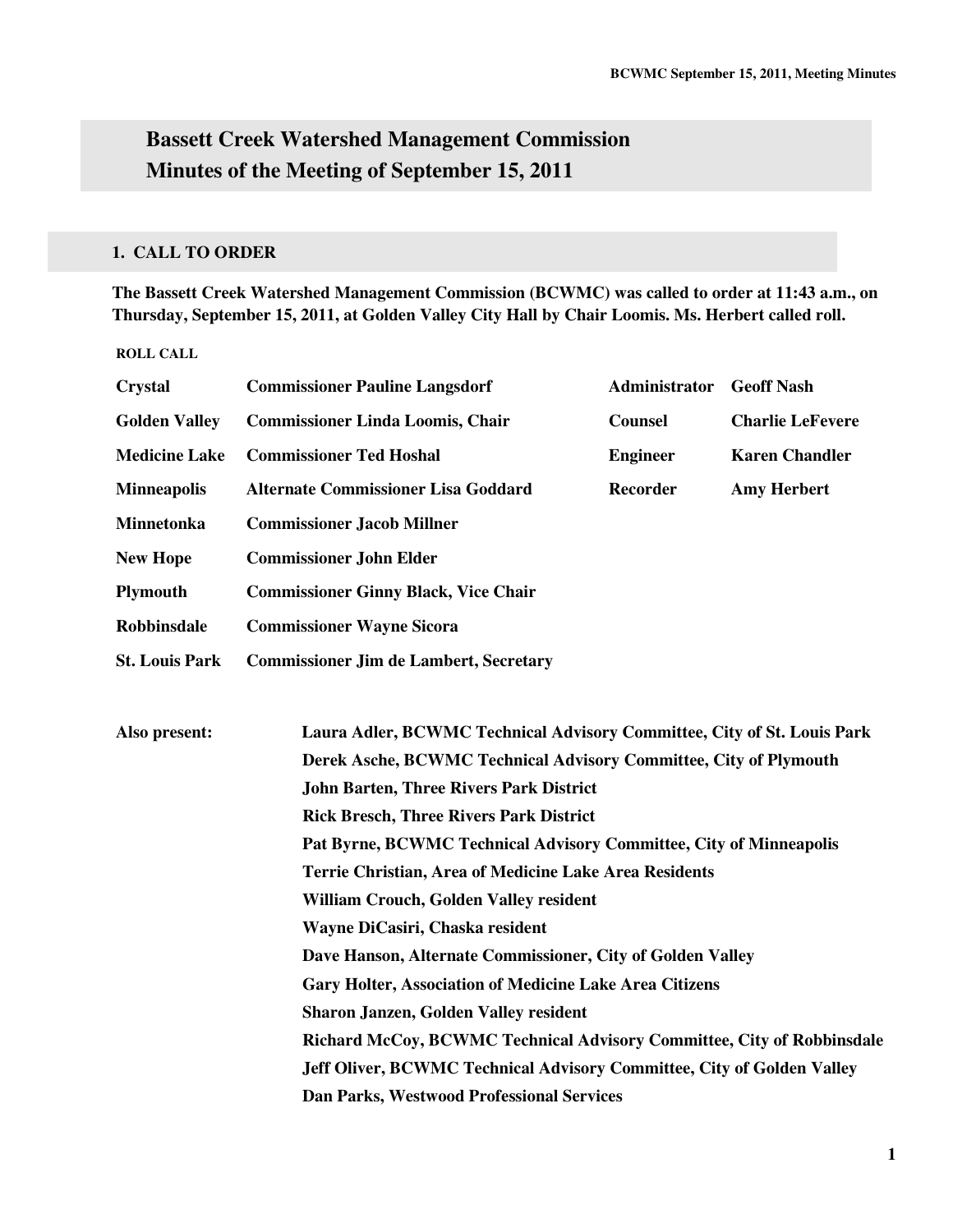# **Bassett Creek Watershed Management Commission Minutes of the Meeting of September 15, 2011**

# **1. CALL TO ORDER**

**The Bassett Creek Watershed Management Commission (BCWMC) was called to order at 11:43 a.m., on Thursday, September 15, 2011, at Golden Valley City Hall by Chair Loomis. Ms. Herbert called roll.** 

#### **ROLL CALL**

| <b>Commissioner Pauline Langsdorf</b>                                   | <b>Administrator</b> | <b>Geoff Nash</b>                                                                                                                                                                                                                                                                                                                    |  |  |
|-------------------------------------------------------------------------|----------------------|--------------------------------------------------------------------------------------------------------------------------------------------------------------------------------------------------------------------------------------------------------------------------------------------------------------------------------------|--|--|
| <b>Commissioner Linda Loomis, Chair</b>                                 | <b>Counsel</b>       | <b>Charlie LeFevere</b>                                                                                                                                                                                                                                                                                                              |  |  |
| <b>Commissioner Ted Hoshal</b>                                          | <b>Engineer</b>      | <b>Karen Chandler</b>                                                                                                                                                                                                                                                                                                                |  |  |
| <b>Alternate Commissioner Lisa Goddard</b>                              | <b>Recorder</b>      | <b>Amy Herbert</b>                                                                                                                                                                                                                                                                                                                   |  |  |
| <b>Commissioner Jacob Millner</b>                                       |                      |                                                                                                                                                                                                                                                                                                                                      |  |  |
| <b>Commissioner John Elder</b>                                          |                      |                                                                                                                                                                                                                                                                                                                                      |  |  |
| <b>Commissioner Ginny Black, Vice Chair</b>                             |                      |                                                                                                                                                                                                                                                                                                                                      |  |  |
| <b>Commissioner Wayne Sicora</b>                                        |                      |                                                                                                                                                                                                                                                                                                                                      |  |  |
| <b>St. Louis Park</b><br><b>Commissioner Jim de Lambert, Secretary</b>  |                      |                                                                                                                                                                                                                                                                                                                                      |  |  |
|                                                                         |                      |                                                                                                                                                                                                                                                                                                                                      |  |  |
| Laura Adler, BCWMC Technical Advisory Committee, City of St. Louis Park |                      |                                                                                                                                                                                                                                                                                                                                      |  |  |
| Derek Asche, BCWMC Technical Advisory Committee, City of Plymouth       |                      |                                                                                                                                                                                                                                                                                                                                      |  |  |
| <b>John Barten, Three Rivers Park District</b>                          |                      |                                                                                                                                                                                                                                                                                                                                      |  |  |
| <b>Rick Bresch, Three Rivers Park District</b>                          |                      |                                                                                                                                                                                                                                                                                                                                      |  |  |
| Pat Byrne, BCWMC Technical Advisory Committee, City of Minneapolis      |                      |                                                                                                                                                                                                                                                                                                                                      |  |  |
| Terrie Christian, Area of Medicine Lake Area Residents                  |                      |                                                                                                                                                                                                                                                                                                                                      |  |  |
| William Crouch, Golden Valley resident                                  |                      |                                                                                                                                                                                                                                                                                                                                      |  |  |
| Wayne DiCasiri, Chaska resident                                         |                      |                                                                                                                                                                                                                                                                                                                                      |  |  |
|                                                                         |                      |                                                                                                                                                                                                                                                                                                                                      |  |  |
|                                                                         |                      |                                                                                                                                                                                                                                                                                                                                      |  |  |
| Sharon Janzen, Golden Valley resident                                   |                      |                                                                                                                                                                                                                                                                                                                                      |  |  |
|                                                                         |                      |                                                                                                                                                                                                                                                                                                                                      |  |  |
|                                                                         |                      |                                                                                                                                                                                                                                                                                                                                      |  |  |
|                                                                         |                      |                                                                                                                                                                                                                                                                                                                                      |  |  |
|                                                                         |                      | Dave Hanson, Alternate Commissioner, City of Golden Valley<br><b>Gary Holter, Association of Medicine Lake Area Citizens</b><br>Richard McCoy, BCWMC Technical Advisory Committee, City of Robbinsdale<br>Jeff Oliver, BCWMC Technical Advisory Committee, City of Golden Valley<br><b>Dan Parks, Westwood Professional Services</b> |  |  |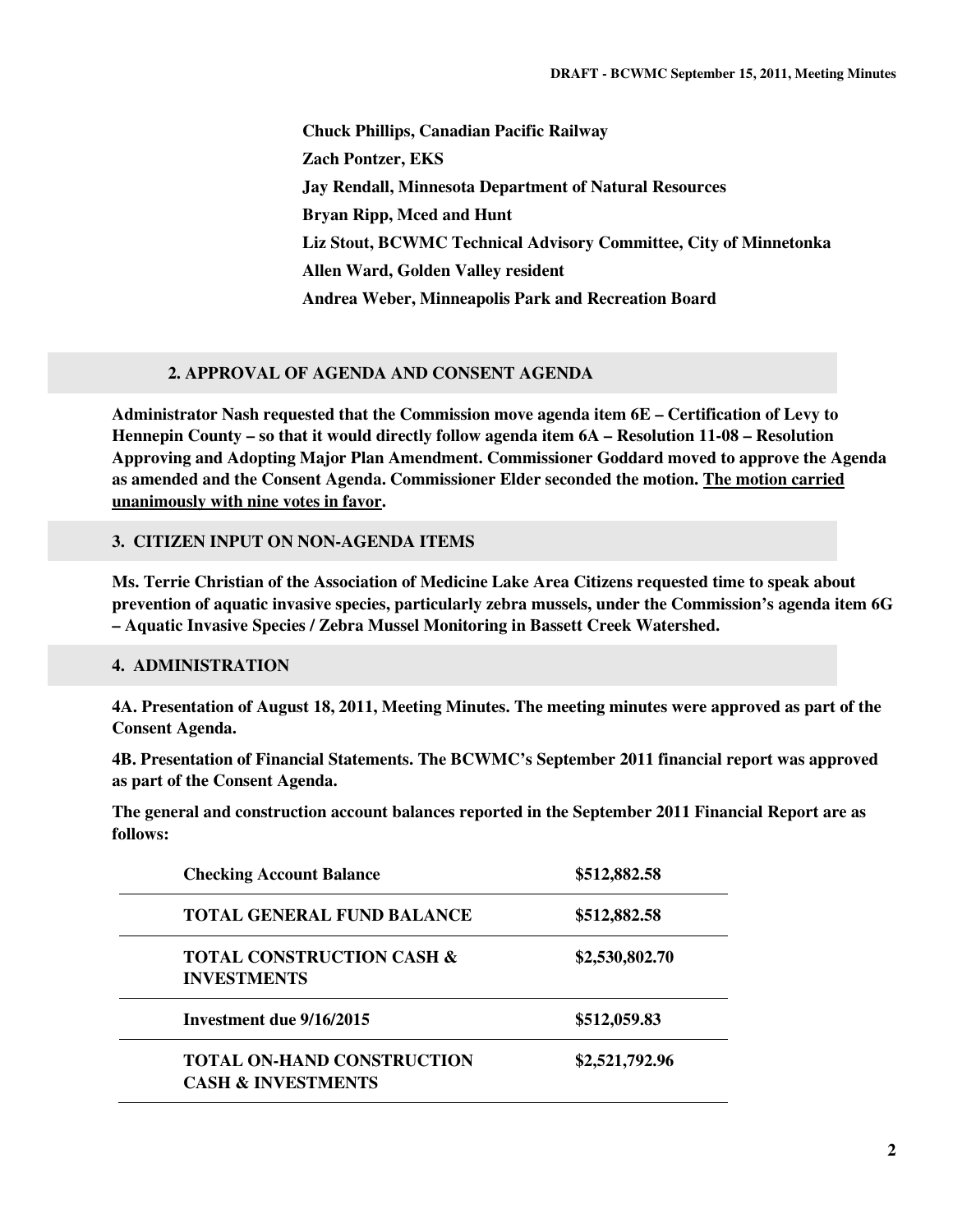**Chuck Phillips, Canadian Pacific Railway Zach Pontzer, EKS Jay Rendall, Minnesota Department of Natural Resources Bryan Ripp, Mced and Hunt Liz Stout, BCWMC Technical Advisory Committee, City of Minnetonka Allen Ward, Golden Valley resident Andrea Weber, Minneapolis Park and Recreation Board** 

## **2. APPROVAL OF AGENDA AND CONSENT AGENDA**

**Administrator Nash requested that the Commission move agenda item 6E – Certification of Levy to Hennepin County – so that it would directly follow agenda item 6A – Resolution 11-08 – Resolution Approving and Adopting Major Plan Amendment. Commissioner Goddard moved to approve the Agenda as amended and the Consent Agenda. Commissioner Elder seconded the motion. The motion carried unanimously with nine votes in favor.** 

## **3. CITIZEN INPUT ON NON-AGENDA ITEMS**

**Ms. Terrie Christian of the Association of Medicine Lake Area Citizens requested time to speak about prevention of aquatic invasive species, particularly zebra mussels, under the Commission's agenda item 6G – Aquatic Invasive Species / Zebra Mussel Monitoring in Bassett Creek Watershed.** 

# **4. ADMINISTRATION**

**4A. Presentation of August 18, 2011, Meeting Minutes. The meeting minutes were approved as part of the Consent Agenda.** 

**4B. Presentation of Financial Statements. The BCWMC's September 2011 financial report was approved as part of the Consent Agenda.** 

**The general and construction account balances reported in the September 2011 Financial Report are as follows:** 

| <b>Checking Account Balance</b>                                    | \$512,882.58   |
|--------------------------------------------------------------------|----------------|
| <b>TOTAL GENERAL FUND BALANCE</b>                                  | \$512,882.58   |
| <b>TOTAL CONSTRUCTION CASH &amp;</b><br><b>INVESTMENTS</b>         | \$2,530,802.70 |
| Investment due 9/16/2015                                           | \$512,059.83   |
| <b>TOTAL ON-HAND CONSTRUCTION</b><br><b>CASH &amp; INVESTMENTS</b> | \$2,521,792.96 |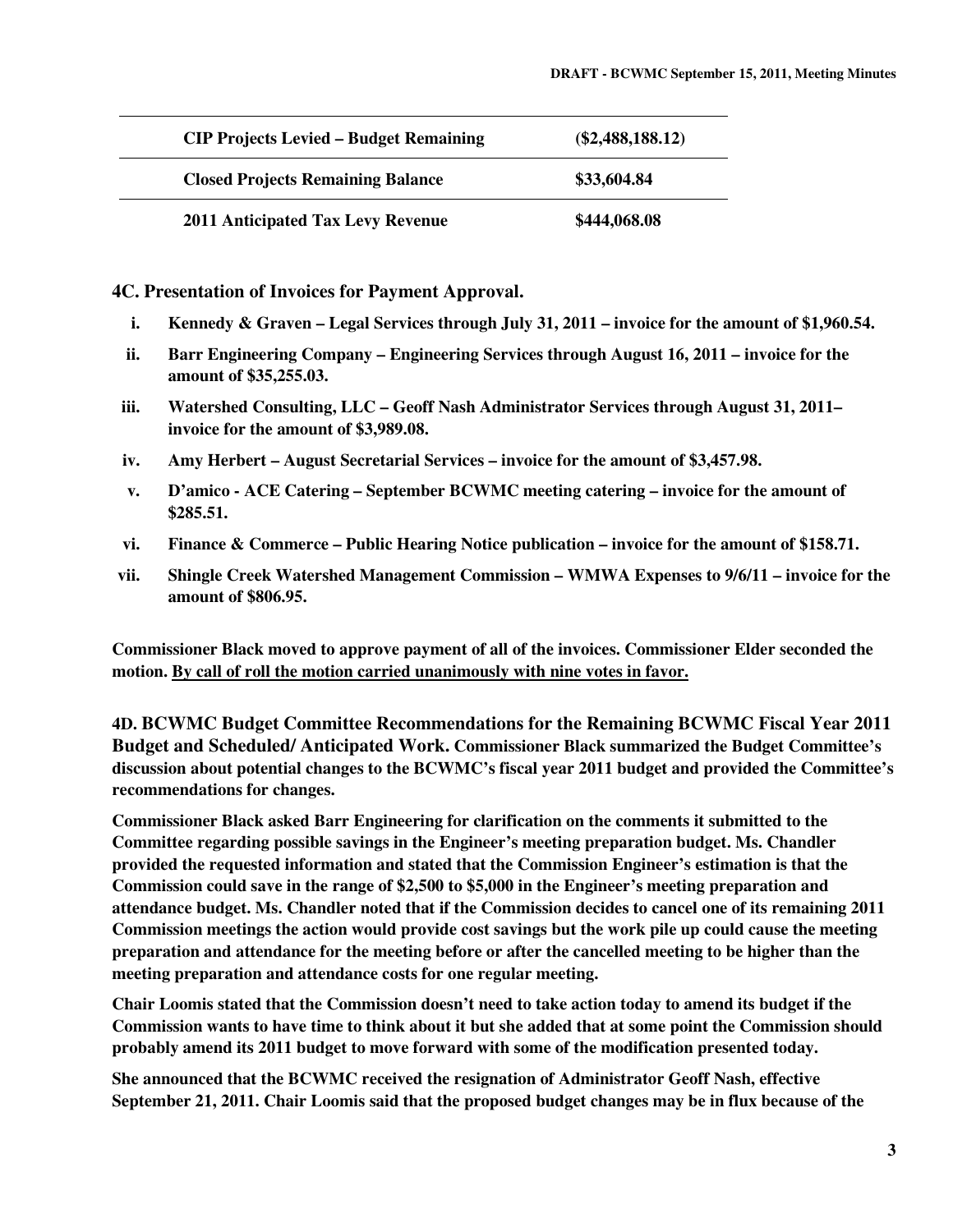| <b>CIP Projects Levied – Budget Remaining</b> | $(\$2,488,188,12)$ |
|-----------------------------------------------|--------------------|
| <b>Closed Projects Remaining Balance</b>      | \$33,604.84        |
| <b>2011 Anticipated Tax Levy Revenue</b>      | \$444,068.08       |

**4C. Presentation of Invoices for Payment Approval.** 

- **i. Kennedy & Graven Legal Services through July 31, 2011 invoice for the amount of \$1,960.54.**
- **ii. Barr Engineering Company Engineering Services through August 16, 2011 invoice for the amount of \$35,255.03.**
- **iii. Watershed Consulting, LLC Geoff Nash Administrator Services through August 31, 2011– invoice for the amount of \$3,989.08.**
- **iv. Amy Herbert August Secretarial Services invoice for the amount of \$3,457.98.**
- **v. D'amico ACE Catering September BCWMC meeting catering invoice for the amount of \$285.51.**
- **vi. Finance & Commerce Public Hearing Notice publication invoice for the amount of \$158.71.**
- **vii. Shingle Creek Watershed Management Commission WMWA Expenses to 9/6/11 invoice for the amount of \$806.95.**

**Commissioner Black moved to approve payment of all of the invoices. Commissioner Elder seconded the motion. By call of roll the motion carried unanimously with nine votes in favor.** 

**4D. BCWMC Budget Committee Recommendations for the Remaining BCWMC Fiscal Year 2011 Budget and Scheduled/ Anticipated Work. Commissioner Black summarized the Budget Committee's discussion about potential changes to the BCWMC's fiscal year 2011 budget and provided the Committee's recommendations for changes.** 

**Commissioner Black asked Barr Engineering for clarification on the comments it submitted to the Committee regarding possible savings in the Engineer's meeting preparation budget. Ms. Chandler provided the requested information and stated that the Commission Engineer's estimation is that the Commission could save in the range of \$2,500 to \$5,000 in the Engineer's meeting preparation and attendance budget. Ms. Chandler noted that if the Commission decides to cancel one of its remaining 2011 Commission meetings the action would provide cost savings but the work pile up could cause the meeting preparation and attendance for the meeting before or after the cancelled meeting to be higher than the meeting preparation and attendance costs for one regular meeting.** 

**Chair Loomis stated that the Commission doesn't need to take action today to amend its budget if the Commission wants to have time to think about it but she added that at some point the Commission should probably amend its 2011 budget to move forward with some of the modification presented today.** 

**She announced that the BCWMC received the resignation of Administrator Geoff Nash, effective September 21, 2011. Chair Loomis said that the proposed budget changes may be in flux because of the**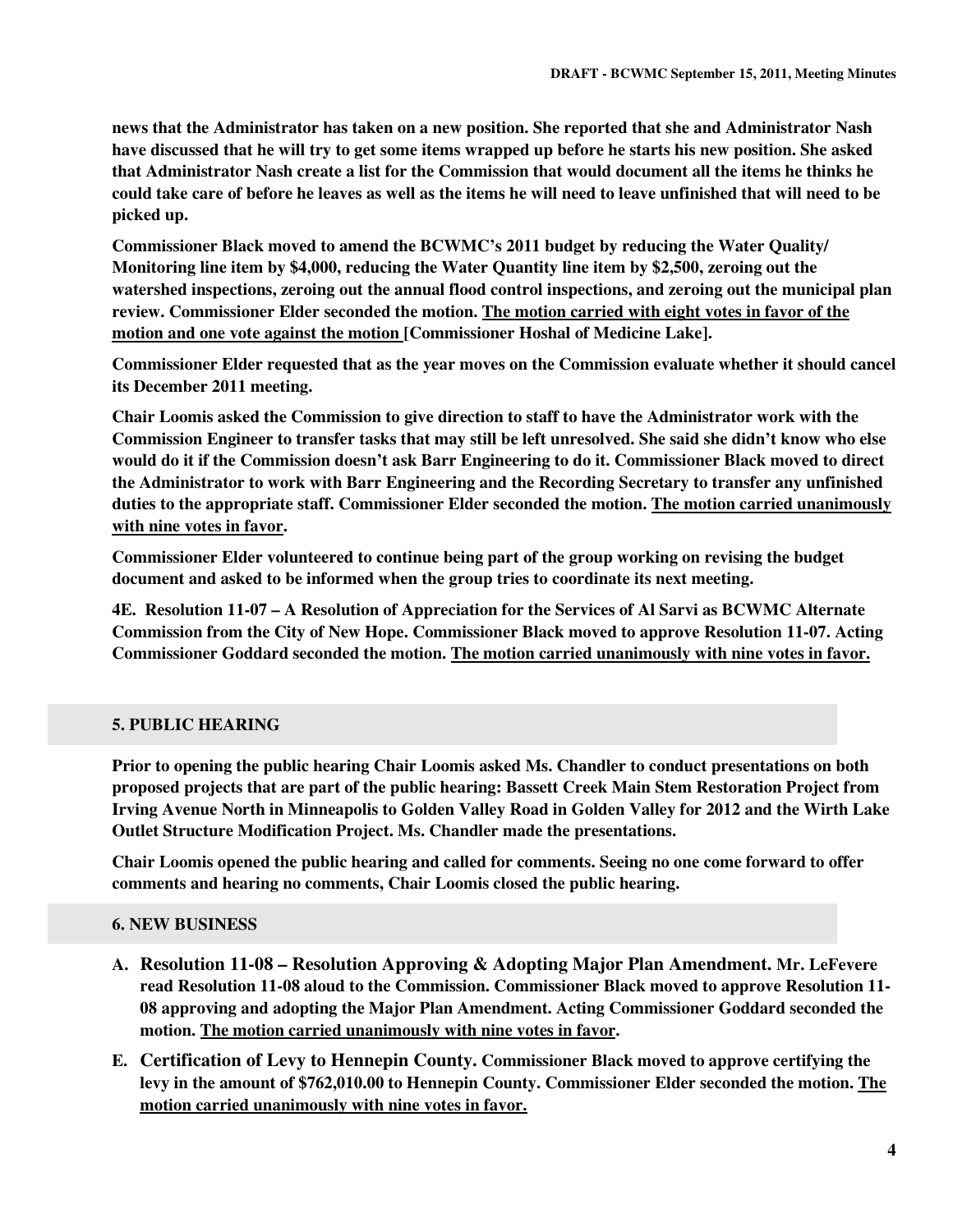**news that the Administrator has taken on a new position. She reported that she and Administrator Nash have discussed that he will try to get some items wrapped up before he starts his new position. She asked that Administrator Nash create a list for the Commission that would document all the items he thinks he could take care of before he leaves as well as the items he will need to leave unfinished that will need to be picked up.** 

**Commissioner Black moved to amend the BCWMC's 2011 budget by reducing the Water Quality/ Monitoring line item by \$4,000, reducing the Water Quantity line item by \$2,500, zeroing out the watershed inspections, zeroing out the annual flood control inspections, and zeroing out the municipal plan review. Commissioner Elder seconded the motion. The motion carried with eight votes in favor of the motion and one vote against the motion [Commissioner Hoshal of Medicine Lake].** 

**Commissioner Elder requested that as the year moves on the Commission evaluate whether it should cancel its December 2011 meeting.** 

**Chair Loomis asked the Commission to give direction to staff to have the Administrator work with the Commission Engineer to transfer tasks that may still be left unresolved. She said she didn't know who else would do it if the Commission doesn't ask Barr Engineering to do it. Commissioner Black moved to direct the Administrator to work with Barr Engineering and the Recording Secretary to transfer any unfinished duties to the appropriate staff. Commissioner Elder seconded the motion. The motion carried unanimously with nine votes in favor.** 

**Commissioner Elder volunteered to continue being part of the group working on revising the budget document and asked to be informed when the group tries to coordinate its next meeting.** 

**4E. Resolution 11-07 – A Resolution of Appreciation for the Services of Al Sarvi as BCWMC Alternate Commission from the City of New Hope. Commissioner Black moved to approve Resolution 11-07. Acting Commissioner Goddard seconded the motion. The motion carried unanimously with nine votes in favor.** 

# **5. PUBLIC HEARING**

**Prior to opening the public hearing Chair Loomis asked Ms. Chandler to conduct presentations on both proposed projects that are part of the public hearing: Bassett Creek Main Stem Restoration Project from Irving Avenue North in Minneapolis to Golden Valley Road in Golden Valley for 2012 and the Wirth Lake Outlet Structure Modification Project. Ms. Chandler made the presentations.** 

**Chair Loomis opened the public hearing and called for comments. Seeing no one come forward to offer comments and hearing no comments, Chair Loomis closed the public hearing.** 

## **6. NEW BUSINESS**

- **A. Resolution 11-08 Resolution Approving & Adopting Major Plan Amendment. Mr. LeFevere read Resolution 11-08 aloud to the Commission. Commissioner Black moved to approve Resolution 11- 08 approving and adopting the Major Plan Amendment. Acting Commissioner Goddard seconded the motion. The motion carried unanimously with nine votes in favor.**
- **E. Certification of Levy to Hennepin County. Commissioner Black moved to approve certifying the levy in the amount of \$762,010.00 to Hennepin County. Commissioner Elder seconded the motion. The motion carried unanimously with nine votes in favor.**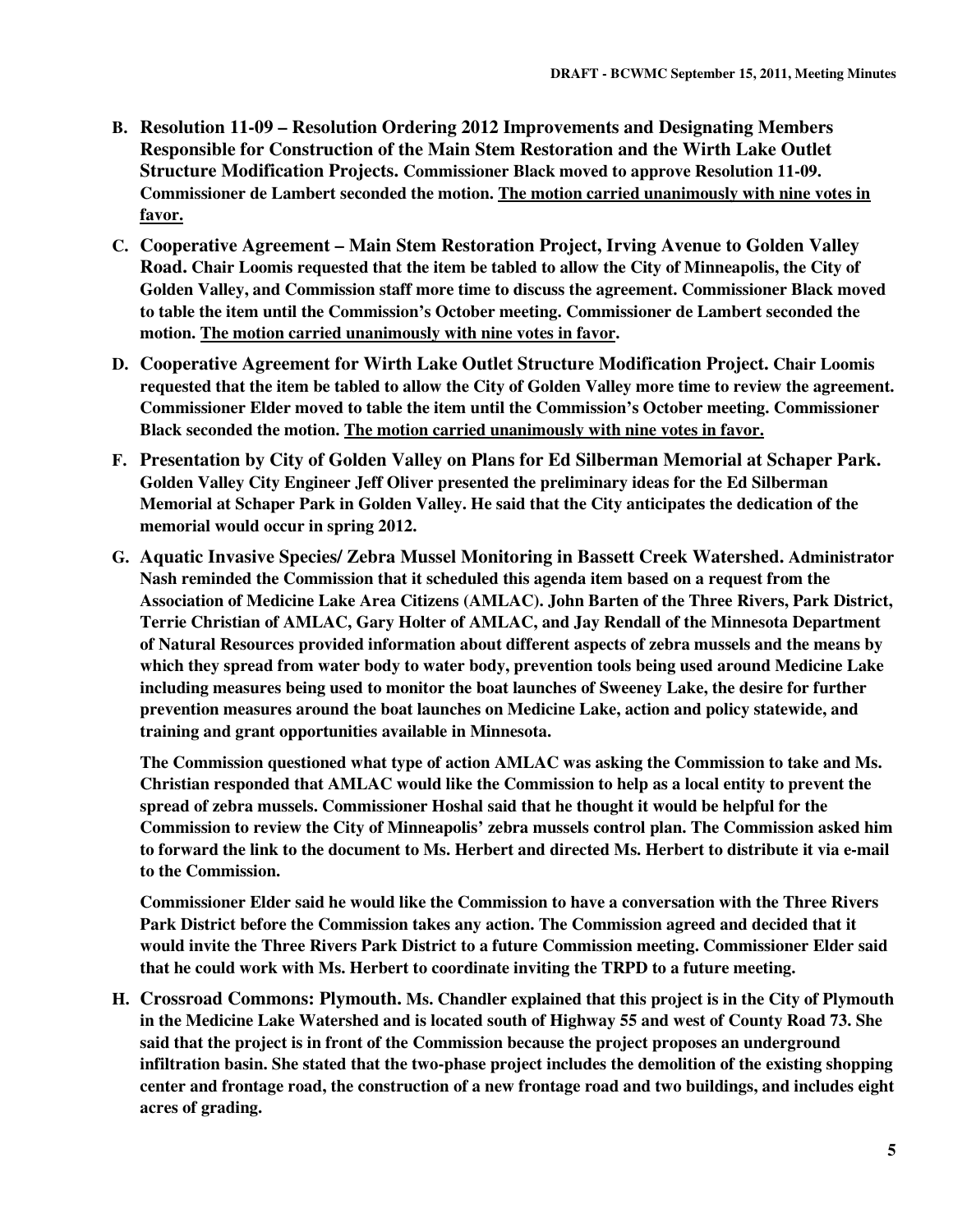- **B. Resolution 11-09 Resolution Ordering 2012 Improvements and Designating Members Responsible for Construction of the Main Stem Restoration and the Wirth Lake Outlet Structure Modification Projects. Commissioner Black moved to approve Resolution 11-09. Commissioner de Lambert seconded the motion. The motion carried unanimously with nine votes in favor.**
- **C. Cooperative Agreement Main Stem Restoration Project, Irving Avenue to Golden Valley Road. Chair Loomis requested that the item be tabled to allow the City of Minneapolis, the City of Golden Valley, and Commission staff more time to discuss the agreement. Commissioner Black moved to table the item until the Commission's October meeting. Commissioner de Lambert seconded the motion. The motion carried unanimously with nine votes in favor.**
- **D. Cooperative Agreement for Wirth Lake Outlet Structure Modification Project. Chair Loomis requested that the item be tabled to allow the City of Golden Valley more time to review the agreement. Commissioner Elder moved to table the item until the Commission's October meeting. Commissioner Black seconded the motion. The motion carried unanimously with nine votes in favor.**
- **F. Presentation by City of Golden Valley on Plans for Ed Silberman Memorial at Schaper Park. Golden Valley City Engineer Jeff Oliver presented the preliminary ideas for the Ed Silberman Memorial at Schaper Park in Golden Valley. He said that the City anticipates the dedication of the memorial would occur in spring 2012.**
- **G. Aquatic Invasive Species/ Zebra Mussel Monitoring in Bassett Creek Watershed. Administrator Nash reminded the Commission that it scheduled this agenda item based on a request from the Association of Medicine Lake Area Citizens (AMLAC). John Barten of the Three Rivers, Park District, Terrie Christian of AMLAC, Gary Holter of AMLAC, and Jay Rendall of the Minnesota Department of Natural Resources provided information about different aspects of zebra mussels and the means by which they spread from water body to water body, prevention tools being used around Medicine Lake including measures being used to monitor the boat launches of Sweeney Lake, the desire for further prevention measures around the boat launches on Medicine Lake, action and policy statewide, and training and grant opportunities available in Minnesota.**

**The Commission questioned what type of action AMLAC was asking the Commission to take and Ms. Christian responded that AMLAC would like the Commission to help as a local entity to prevent the spread of zebra mussels. Commissioner Hoshal said that he thought it would be helpful for the Commission to review the City of Minneapolis' zebra mussels control plan. The Commission asked him to forward the link to the document to Ms. Herbert and directed Ms. Herbert to distribute it via e-mail to the Commission.** 

**Commissioner Elder said he would like the Commission to have a conversation with the Three Rivers Park District before the Commission takes any action. The Commission agreed and decided that it would invite the Three Rivers Park District to a future Commission meeting. Commissioner Elder said that he could work with Ms. Herbert to coordinate inviting the TRPD to a future meeting.** 

**H. Crossroad Commons: Plymouth. Ms. Chandler explained that this project is in the City of Plymouth in the Medicine Lake Watershed and is located south of Highway 55 and west of County Road 73. She said that the project is in front of the Commission because the project proposes an underground infiltration basin. She stated that the two-phase project includes the demolition of the existing shopping center and frontage road, the construction of a new frontage road and two buildings, and includes eight acres of grading.**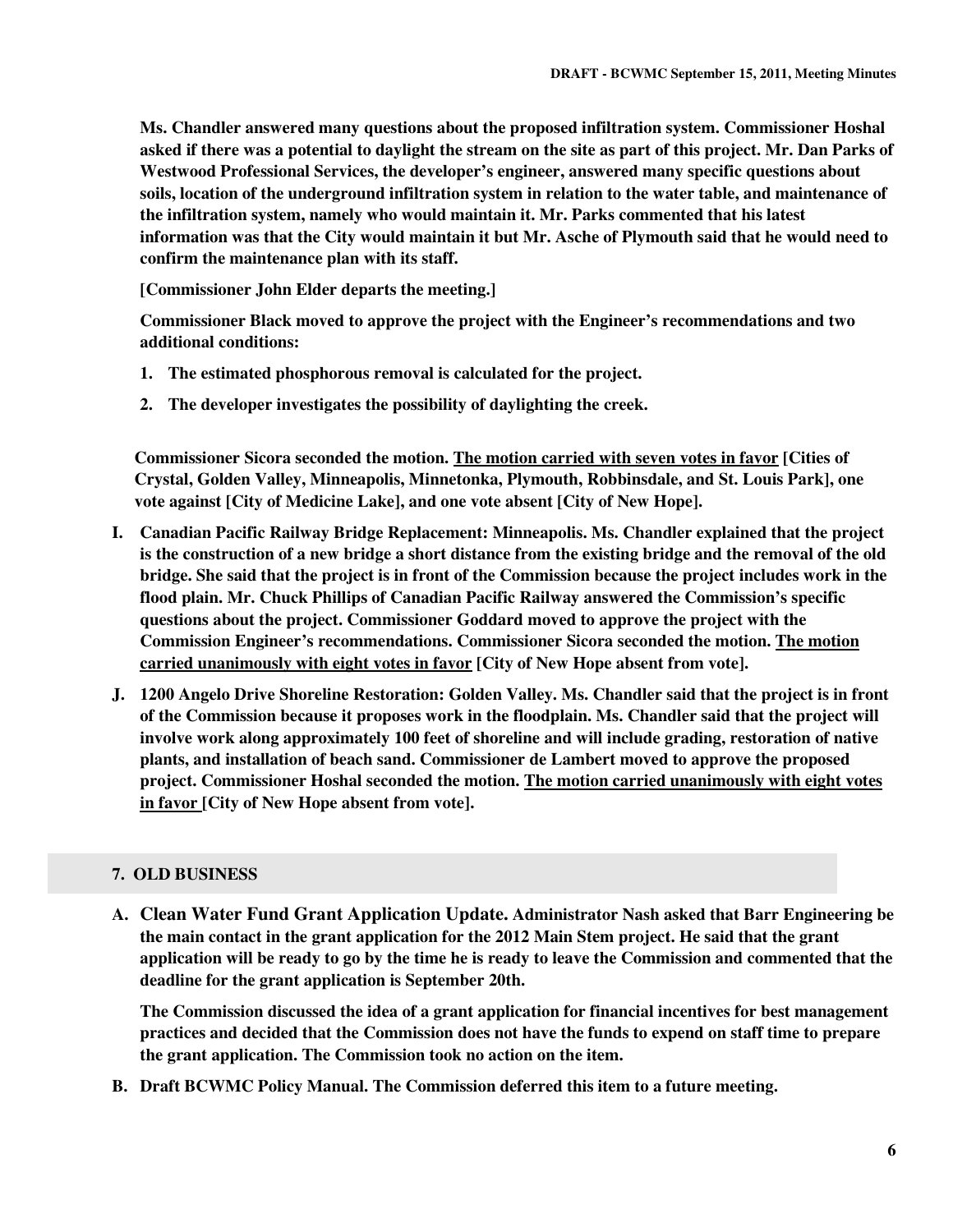**Ms. Chandler answered many questions about the proposed infiltration system. Commissioner Hoshal asked if there was a potential to daylight the stream on the site as part of this project. Mr. Dan Parks of Westwood Professional Services, the developer's engineer, answered many specific questions about soils, location of the underground infiltration system in relation to the water table, and maintenance of the infiltration system, namely who would maintain it. Mr. Parks commented that his latest information was that the City would maintain it but Mr. Asche of Plymouth said that he would need to confirm the maintenance plan with its staff.** 

**[Commissioner John Elder departs the meeting.]** 

**Commissioner Black moved to approve the project with the Engineer's recommendations and two additional conditions:** 

- **1. The estimated phosphorous removal is calculated for the project.**
- **2. The developer investigates the possibility of daylighting the creek.**

**Commissioner Sicora seconded the motion. The motion carried with seven votes in favor [Cities of Crystal, Golden Valley, Minneapolis, Minnetonka, Plymouth, Robbinsdale, and St. Louis Park], one vote against [City of Medicine Lake], and one vote absent [City of New Hope].** 

- **I. Canadian Pacific Railway Bridge Replacement: Minneapolis. Ms. Chandler explained that the project is the construction of a new bridge a short distance from the existing bridge and the removal of the old bridge. She said that the project is in front of the Commission because the project includes work in the flood plain. Mr. Chuck Phillips of Canadian Pacific Railway answered the Commission's specific questions about the project. Commissioner Goddard moved to approve the project with the Commission Engineer's recommendations. Commissioner Sicora seconded the motion. The motion carried unanimously with eight votes in favor [City of New Hope absent from vote].**
- **J. 1200 Angelo Drive Shoreline Restoration: Golden Valley. Ms. Chandler said that the project is in front of the Commission because it proposes work in the floodplain. Ms. Chandler said that the project will involve work along approximately 100 feet of shoreline and will include grading, restoration of native plants, and installation of beach sand. Commissioner de Lambert moved to approve the proposed project. Commissioner Hoshal seconded the motion. The motion carried unanimously with eight votes in favor [City of New Hope absent from vote].**

# **7. OLD BUSINESS**

**A. Clean Water Fund Grant Application Update. Administrator Nash asked that Barr Engineering be the main contact in the grant application for the 2012 Main Stem project. He said that the grant application will be ready to go by the time he is ready to leave the Commission and commented that the deadline for the grant application is September 20th.** 

**The Commission discussed the idea of a grant application for financial incentives for best management practices and decided that the Commission does not have the funds to expend on staff time to prepare the grant application. The Commission took no action on the item.** 

**B. Draft BCWMC Policy Manual. The Commission deferred this item to a future meeting.**